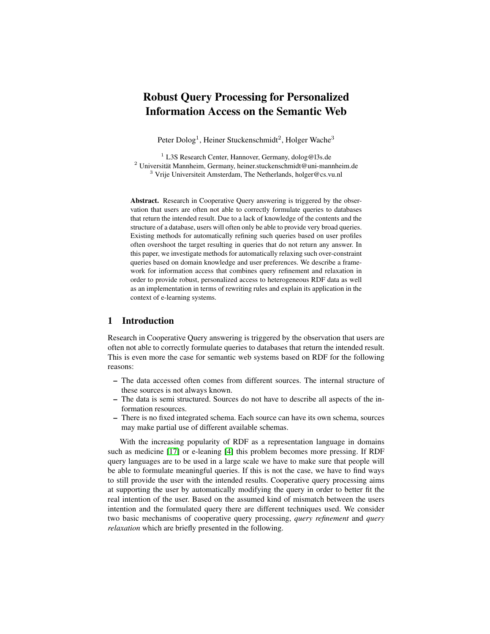# Robust Query Processing for Personalized Information Access on the Semantic Web

Peter Dolog<sup>1</sup>, Heiner Stuckenschmidt<sup>2</sup>, Holger Wache<sup>3</sup>

<sup>1</sup> L3S Research Center, Hannover, Germany, dolog@l3s.de  $2$  Universität Mannheim, Germany, heiner.stuckenschmidt@uni-mannheim.de <sup>3</sup> Vrije Universiteit Amsterdam, The Netherlands, holger@cs.vu.nl

Abstract. Research in Cooperative Query answering is triggered by the observation that users are often not able to correctly formulate queries to databases that return the intended result. Due to a lack of knowledge of the contents and the structure of a database, users will often only be able to provide very broad queries. Existing methods for automatically refining such queries based on user profiles often overshoot the target resulting in queries that do not return any answer. In this paper, we investigate methods for automatically relaxing such over-constraint queries based on domain knowledge and user preferences. We describe a framework for information access that combines query refinement and relaxation in order to provide robust, personalized access to heterogeneous RDF data as well as an implementation in terms of rewriting rules and explain its application in the context of e-learning systems.

## 1 Introduction

Research in Cooperative Query answering is triggered by the observation that users are often not able to correctly formulate queries to databases that return the intended result. This is even more the case for semantic web systems based on RDF for the following reasons:

- The data accessed often comes from different sources. The internal structure of these sources is not always known.
- The data is semi structured. Sources do not have to describe all aspects of the information resources.
- There is no fixed integrated schema. Each source can have its own schema, sources may make partial use of different available schemas.

With the increasing popularity of RDF as a representation language in domains such as medicine [\[17\]](#page-11-0) or e-leaning [\[4\]](#page-11-1) this problem becomes more pressing. If RDF query languages are to be used in a large scale we have to make sure that people will be able to formulate meaningful queries. If this is not the case, we have to find ways to still provide the user with the intended results. Cooperative query processing aims at supporting the user by automatically modifying the query in order to better fit the real intention of the user. Based on the assumed kind of mismatch between the users intention and the formulated query there are different techniques used. We consider two basic mechanisms of cooperative query processing, *query refinement* and *query relaxation* which are briefly presented in the following.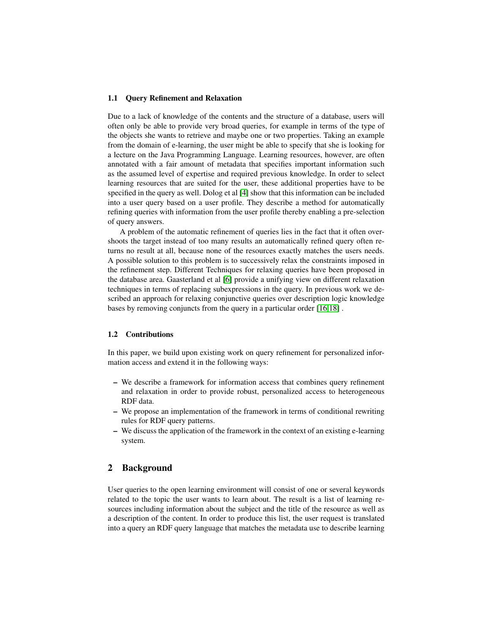#### 1.1 Query Refinement and Relaxation

Due to a lack of knowledge of the contents and the structure of a database, users will often only be able to provide very broad queries, for example in terms of the type of the objects she wants to retrieve and maybe one or two properties. Taking an example from the domain of e-learning, the user might be able to specify that she is looking for a lecture on the Java Programming Language. Learning resources, however, are often annotated with a fair amount of metadata that specifies important information such as the assumed level of expertise and required previous knowledge. In order to select learning resources that are suited for the user, these additional properties have to be specified in the query as well. Dolog et al [\[4\]](#page-11-1) show that this information can be included into a user query based on a user profile. They describe a method for automatically refining queries with information from the user profile thereby enabling a pre-selection of query answers.

A problem of the automatic refinement of queries lies in the fact that it often overshoots the target instead of too many results an automatically refined query often returns no result at all, because none of the resources exactly matches the users needs. A possible solution to this problem is to successively relax the constraints imposed in the refinement step. Different Techniques for relaxing queries have been proposed in the database area. Gaasterland et al [\[6\]](#page-11-2) provide a unifying view on different relaxation techniques in terms of replacing subexpressions in the query. In previous work we described an approach for relaxing conjunctive queries over description logic knowledge bases by removing conjuncts from the query in a particular order [\[16](#page-11-3)[,18\]](#page-11-4) .

### 1.2 Contributions

In this paper, we build upon existing work on query refinement for personalized information access and extend it in the following ways:

- We describe a framework for information access that combines query refinement and relaxation in order to provide robust, personalized access to heterogeneous RDF data.
- We propose an implementation of the framework in terms of conditional rewriting rules for RDF query patterns.
- We discuss the application of the framework in the context of an existing e-learning system.

#### 2 Background

User queries to the open learning environment will consist of one or several keywords related to the topic the user wants to learn about. The result is a list of learning resources including information about the subject and the title of the resource as well as a description of the content. In order to produce this list, the user request is translated into a query an RDF query language that matches the metadata use to describe learning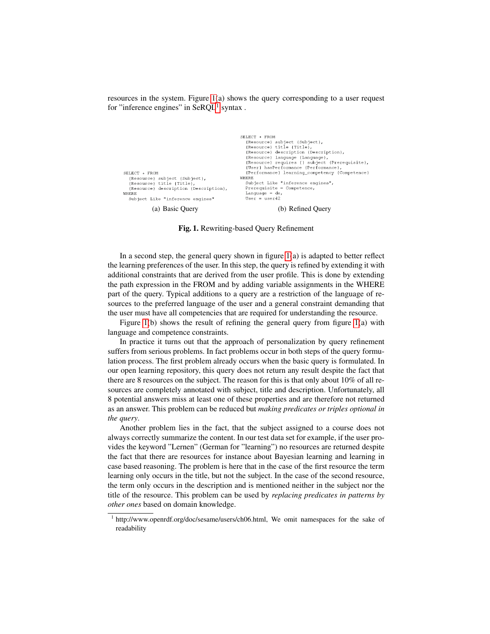resources in the system. Figure [1\(](#page-2-0)a) shows the query corresponding to a user request for "inference engines" in  $SeRQL<sup>1</sup>$  $SeRQL<sup>1</sup>$  $SeRQL<sup>1</sup>$  syntax.

|                                       | $SELECT \times FROM$<br>{Resource} subject {Subject}, |
|---------------------------------------|-------------------------------------------------------|
|                                       | {Resource} title {Title},                             |
|                                       | {Resource} description {Description},                 |
|                                       | {Resource} language {Language},                       |
|                                       | {Resource} requires {} subject {Prerequisite},        |
|                                       | {User} hasPerformance {Performance},                  |
| $SELECT + FROM$                       | {Performance} learning_competency {Competence}        |
| {Resource} subject {Subject},         | <b>WHERE</b>                                          |
| {Resource} title {Title},             | Subject Like "inference engines",                     |
| {Resource} description {Description}, | $Prerequisite = Complete,$                            |
| <b>WHERE</b>                          | Language = $de$ ,                                     |
| Subject Like "inference engines"      | $User = user42$                                       |
| (a) Basic Query                       | (b) Refined Ouery                                     |

<span id="page-2-0"></span>Fig. 1. Rewriting-based Query Refinement

In a second step, the general query shown in figure [1\(](#page-2-0)a) is adapted to better reflect the learning preferences of the user. In this step, the query is refined by extending it with additional constraints that are derived from the user profile. This is done by extending the path expression in the FROM and by adding variable assignments in the WHERE part of the query. Typical additions to a query are a restriction of the language of resources to the preferred language of the user and a general constraint demanding that the user must have all competencies that are required for understanding the resource.

Figure  $1(b)$  shows the result of refining the general query from figure  $1(a)$  with language and competence constraints.

In practice it turns out that the approach of personalization by query refinement suffers from serious problems. In fact problems occur in both steps of the query formulation process. The first problem already occurs when the basic query is formulated. In our open learning repository, this query does not return any result despite the fact that there are 8 resources on the subject. The reason for this is that only about 10% of all resources are completely annotated with subject, title and description. Unfortunately, all 8 potential answers miss at least one of these properties and are therefore not returned as an answer. This problem can be reduced but *making predicates or triples optional in the query*.

Another problem lies in the fact, that the subject assigned to a course does not always correctly summarize the content. In our test data set for example, if the user provides the keyword "Lernen" (German for "learning") no resources are returned despite the fact that there are resources for instance about Bayesian learning and learning in case based reasoning. The problem is here that in the case of the first resource the term learning only occurs in the title, but not the subject. In the case of the second resource, the term only occurs in the description and is mentioned neither in the subject nor the title of the resource. This problem can be used by *replacing predicates in patterns by other ones* based on domain knowledge.

<span id="page-2-1"></span><sup>&</sup>lt;sup>1</sup> http://www.openrdf.org/doc/sesame/users/ch06.html, We omit namespaces for the sake of readability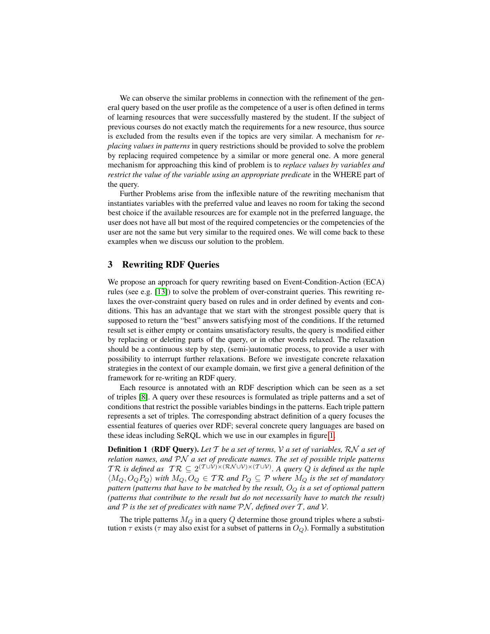We can observe the similar problems in connection with the refinement of the general query based on the user profile as the competence of a user is often defined in terms of learning resources that were successfully mastered by the student. If the subject of previous courses do not exactly match the requirements for a new resource, thus source is excluded from the results even if the topics are very similar. A mechanism for *replacing values in patterns* in query restrictions should be provided to solve the problem by replacing required competence by a similar or more general one. A more general mechanism for approaching this kind of problem is to *replace values by variables and restrict the value of the variable using an appropriate predicate* in the WHERE part of the query.

Further Problems arise from the inflexible nature of the rewriting mechanism that instantiates variables with the preferred value and leaves no room for taking the second best choice if the available resources are for example not in the preferred language, the user does not have all but most of the required competencies or the competencies of the user are not the same but very similar to the required ones. We will come back to these examples when we discuss our solution to the problem.

## 3 Rewriting RDF Queries

We propose an approach for query rewriting based on Event-Condition-Action (ECA) rules (see e.g. [\[13\]](#page-11-5)) to solve the problem of over-constraint queries. This rewriting relaxes the over-constraint query based on rules and in order defined by events and conditions. This has an advantage that we start with the strongest possible query that is supposed to return the "best" answers satisfying most of the conditions. If the returned result set is either empty or contains unsatisfactory results, the query is modified either by replacing or deleting parts of the query, or in other words relaxed. The relaxation should be a continuous step by step, (semi-)automatic process, to provide a user with possibility to interrupt further relaxations. Before we investigate concrete relaxation strategies in the context of our example domain, we first give a general definition of the framework for re-writing an RDF query.

Each resource is annotated with an RDF description which can be seen as a set of triples [\[8\]](#page-11-6). A query over these resources is formulated as triple patterns and a set of conditions that restrict the possible variables bindings in the patterns. Each triple pattern represents a set of triples. The corresponding abstract definition of a query focuses the essential features of queries over RDF; several concrete query languages are based on these ideas including SeRQL which we use in our examples in figure [1.](#page-2-0)

Definition 1 (RDF Query). *Let* T *be a set of terms,* V *a set of variables,* RN *a set of relation names, and* PN *a set of predicate names. The set of possible triple patterns* TR is defined as  $TR \subseteq 2^{(T \cup V) \times (R \mathcal{N} \cup V) \times (T \cup V)}$ . A query Q is defined as the tuple  $\langle M_Q, O_QP_Q \rangle$  *with*  $M_Q, O_Q \in TR$  *and*  $P_Q \subseteq P$  *where*  $M_Q$  *is the set of mandatory pattern (patterns that have to be matched by the result,* O<sup>Q</sup> *is a set of optional pattern (patterns that contribute to the result but do not necessarily have to match the result)* and  $P$  is the set of predicates with name  $PN$ , defined over  $T$ , and  $V$ .

The triple patterns  $M_Q$  in a query  $Q$  determine those ground triples where a substitution  $\tau$  exists ( $\tau$  may also exist for a subset of patterns in  $O_Q$ ). Formally a substitution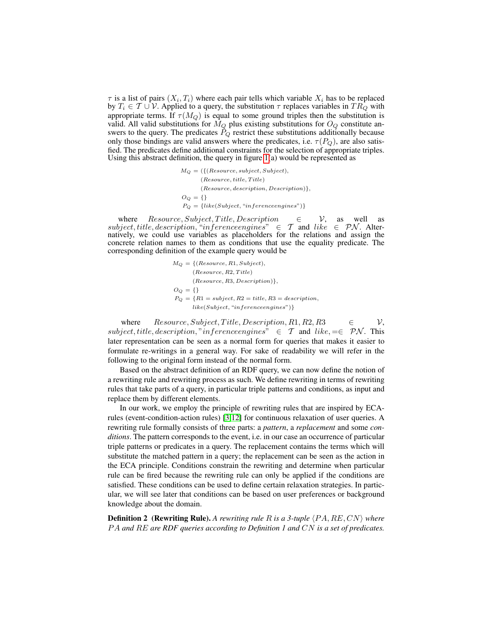$\tau$  is a list of pairs  $(X_i, T_i)$  where each pair tells which variable  $X_i$  has to be replaced by  $T_i \in \mathcal{T} \cup \mathcal{V}$ . Applied to a query, the substitution  $\tau$  replaces variables in  $TR_Q$  with appropriate terms. If  $\tau(M_Q)$  is equal to some ground triples then the substitution is valid. All valid substitutions for  $M_Q$  plus existing substitutions for  $O_Q$  constitute answers to the query. The predicates  $P<sub>O</sub>$  restrict these substitutions additionally because only those bindings are valid answers where the predicates, i.e.  $\tau(P_Q)$ , are also satisfied. The predicates define additional constraints for the selection of appropriate triples. Using this abstract definition, the query in figure [1\(](#page-2-0)a) would be represented as

> $M_Q = (\{(Resource, subject, Subject),$  $(Resource, title, Title)$  $(Resource, description, Description)\},$  $O_Q = \{\}$  $P_Q = \{like(Subject, "inference engines")\}$

where  $Resource, Subject, Title, Description \in V$ , as well  $subject, title, description, "inference engines" \in \mathcal{T}$  and like  $\in \mathcal{PN}$ . Alternatively, we could use variables as placeholders for the relations and assign the concrete relation names to them as conditions that use the equality predicate. The corresponding definition of the example query would be

> $M_Q = \{ (Resource, R1, Subject),$  $(Resource, R2, Title)$  $(Resource, R3, Description)\},$  $O_Q = \{\}$  $P_Q = \{R1 = subject, R2 = title, R3 = description,$  $like(Subject, "inference engines")\}$

where  $Resource, Subject, Title, Description, R1, R2, R3 \in V$ , subject, title, description, "inference engines"  $\in \mathcal{T}$  and like,  $=\in \mathcal{PN}$ . This later representation can be seen as a normal form for queries that makes it easier to formulate re-writings in a general way. For sake of readability we will refer in the following to the original form instead of the normal form.

Based on the abstract definition of an RDF query, we can now define the notion of a rewriting rule and rewriting process as such. We define rewriting in terms of rewriting rules that take parts of a query, in particular triple patterns and conditions, as input and replace them by different elements.

In our work, we employ the principle of rewriting rules that are inspired by ECArules (event-condition-action rules) [\[3,](#page-11-7)[12\]](#page-11-8) for continuous relaxation of user queries. A rewriting rule formally consists of three parts: a *pattern*, a *replacement* and some *conditions*. The pattern corresponds to the event, i.e. in our case an occurrence of particular triple patterns or predicates in a query. The replacement contains the terms which will substitute the matched pattern in a query; the replacement can be seen as the action in the ECA principle. Conditions constrain the rewriting and determine when particular rule can be fired because the rewriting rule can only be applied if the conditions are satisfied. These conditions can be used to define certain relaxation strategies. In particular, we will see later that conditions can be based on user preferences or background knowledge about the domain.

**Definition 2 (Rewriting Rule).** A rewriting rule R is a 3-tuple  $\langle PA, RE, CN \rangle$  where P A *and* RE *are RDF queries according to Definition 1 and* CN *is a set of predicates.*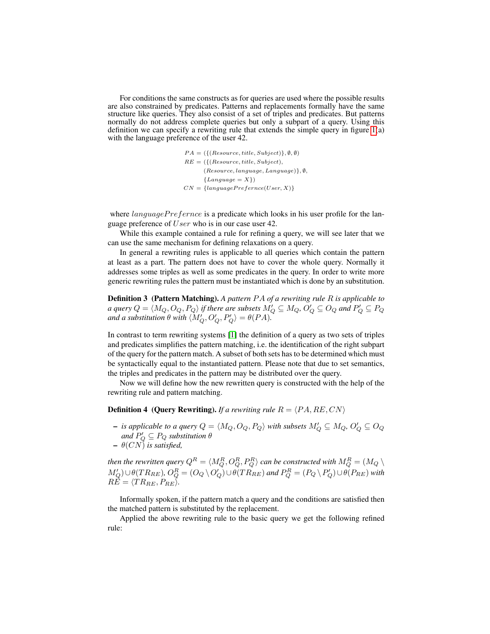For conditions the same constructs as for queries are used where the possible results are also constrained by predicates. Patterns and replacements formally have the same structure like queries. They also consist of a set of triples and predicates. But patterns normally do not address complete queries but only a subpart of a query. Using this definition we can specify a rewriting rule that extends the simple query in figure [1\(](#page-2-0)a) with the language preference of the user 42.

> $PA = (\{(Resource, title, Subject)\}, \emptyset, \emptyset)$  $RE = (\{(Resource, title, Subject),$ (Resource, language, Language)}, ∅,  ${Language = X}$  $CN = \{languagePreference(User, X)\}$

where  $languagePerfect$  is a predicate which looks in his user profile for the language preference of User who is in our case user 42.

While this example contained a rule for refining a query, we will see later that we can use the same mechanism for defining relaxations on a query.

In general a rewriting rules is applicable to all queries which contain the pattern at least as a part. The pattern does not have to cover the whole query. Normally it addresses some triples as well as some predicates in the query. In order to write more generic rewriting rules the pattern must be instantiated which is done by an substitution.

**Definition 3 (Pattern Matching).** A pattern PA of a rewriting rule R is applicable to *a query*  $Q = \langle M_Q, O_Q, P_Q \rangle$  *if there are subsets*  $M'_Q \subseteq M_Q$ ,  $O'_Q \subseteq O_Q$  *and*  $P'_Q \subseteq P_Q$ *and a substitution*  $\theta$  *with*  $\langle M'_Q, O'_Q, P'_Q \rangle = \theta(PA)$ *.* 

In contrast to term rewriting systems [\[1\]](#page-10-0) the definition of a query as two sets of triples and predicates simplifies the pattern matching, i.e. the identification of the right subpart of the query for the pattern match. A subset of both sets has to be determined which must be syntactically equal to the instantiated pattern. Please note that due to set semantics, the triples and predicates in the pattern may be distributed over the query.

Now we will define how the new rewritten query is constructed with the help of the rewriting rule and pattern matching.

**Definition 4 (Query Rewriting).** *If a rewriting rule*  $R = \langle PA, RE, CN \rangle$ 

- $-$  is applicable to a query  $Q = \langle M_Q, O_Q, P_Q \rangle$  with subsets  $M'_Q \subseteq M_Q, O'_Q \subseteq O_Q$ and  $P'_Q \subseteq P_Q$  substitution  $\theta$
- $\theta(CN)$  *is satisfied,*

then the rewritten query  $Q^R = \langle M_Q^R, O_Q^R, P_Q^R \rangle$  can be constructed with  $M_Q^R = (M_Q \setminus I_Q)$  $M_Q'$ )∪θ( $TR_{RE}$ ),  $O_Q^R = (O_Q \setminus O_Q') \cup \theta (TR_{RE})$  and  $P_Q^R = (P_Q \setminus P_Q') \cup \theta (P_{RE})$  with  $R\dot{E} = \langle TR_{RE}, P_{RE} \rangle.$ 

Informally spoken, if the pattern match a query and the conditions are satisfied then the matched pattern is substituted by the replacement.

Applied the above rewriting rule to the basic query we get the following refined rule: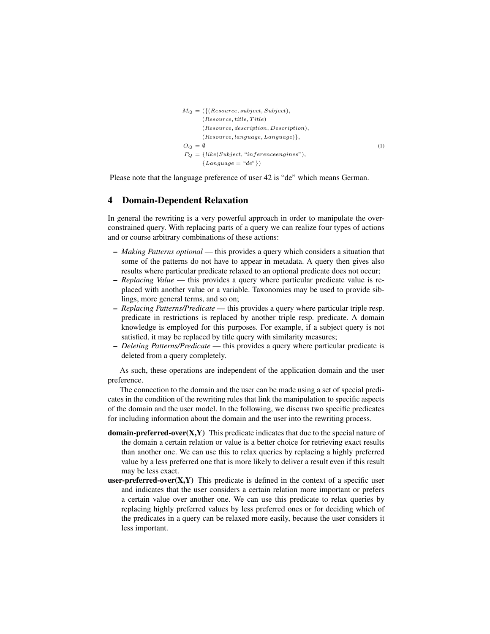```
M_Q = (\{(Resource, subject, Subject),(Resource, title, Title)(Resource, description, Description),
     (Resource, language, Language)},
O_Q = \emptyset (1)
P_Q = \{like(Subject, "inference engines"),\}{Language = "de"\}
```
Please note that the language preference of user 42 is "de" which means German.

#### 4 Domain-Dependent Relaxation

In general the rewriting is a very powerful approach in order to manipulate the overconstrained query. With replacing parts of a query we can realize four types of actions and or course arbitrary combinations of these actions:

- *Making Patterns optional* this provides a query which considers a situation that some of the patterns do not have to appear in metadata. A query then gives also results where particular predicate relaxed to an optional predicate does not occur;
- *Replacing Value* this provides a query where particular predicate value is replaced with another value or a variable. Taxonomies may be used to provide siblings, more general terms, and so on;
- *Replacing Patterns/Predicate* this provides a query where particular triple resp. predicate in restrictions is replaced by another triple resp. predicate. A domain knowledge is employed for this purposes. For example, if a subject query is not satisfied, it may be replaced by title query with similarity measures;
- *Deleting Patterns/Predicate* this provides a query where particular predicate is deleted from a query completely.

As such, these operations are independent of the application domain and the user preference.

The connection to the domain and the user can be made using a set of special predicates in the condition of the rewriting rules that link the manipulation to specific aspects of the domain and the user model. In the following, we discuss two specific predicates for including information about the domain and the user into the rewriting process.

- **domain-preferred-over(X,Y)** This predicate indicates that due to the special nature of the domain a certain relation or value is a better choice for retrieving exact results than another one. We can use this to relax queries by replacing a highly preferred value by a less preferred one that is more likely to deliver a result even if this result may be less exact.
- user-preferred-over $(X, Y)$  This predicate is defined in the context of a specific user and indicates that the user considers a certain relation more important or prefers a certain value over another one. We can use this predicate to relax queries by replacing highly preferred values by less preferred ones or for deciding which of the predicates in a query can be relaxed more easily, because the user considers it less important.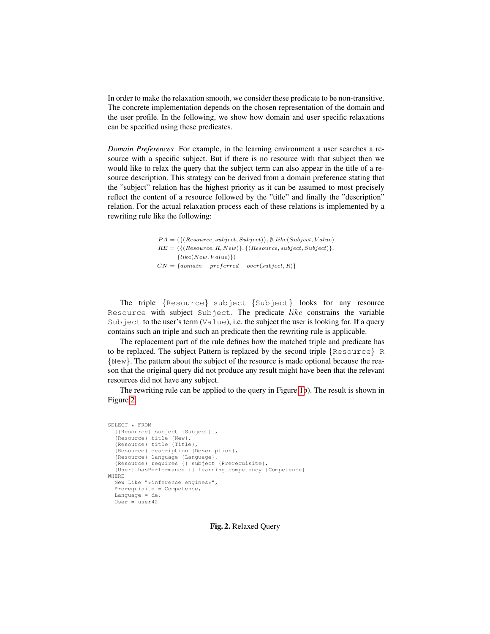In order to make the relaxation smooth, we consider these predicate to be non-transitive. The concrete implementation depends on the chosen representation of the domain and the user profile. In the following, we show how domain and user specific relaxations can be specified using these predicates.

*Domain Preferences* For example, in the learning environment a user searches a resource with a specific subject. But if there is no resource with that subject then we would like to relax the query that the subject term can also appear in the title of a resource description. This strategy can be derived from a domain preference stating that the "subject" relation has the highest priority as it can be assumed to most precisely reflect the content of a resource followed by the "title" and finally the "description" relation. For the actual relaxation process each of these relations is implemented by a rewriting rule like the following:

> $PA = (\{(Resource, subject, Subject)\}, \emptyset, like(Subject, Value)$  $\begin{aligned} RE = (\{(Resource, R, New)\}, \{(Resource, subject, Subject)\}, \end{aligned}$  ${like(New, Value)}$  $CN = \{domain - preferred - over(subject, R)\}$

The triple {Resource} subject {Subject} looks for any resource Resource with subject Subject. The predicate like constrains the variable Subject to the user's term (Value), i.e. the subject the user is looking for. If a query contains such an triple and such an predicate then the rewriting rule is applicable.

The replacement part of the rule defines how the matched triple and predicate has to be replaced. The subject Pattern is replaced by the second triple {Resource} R {New}. The pattern about the subject of the resource is made optional because the reason that the original query did not produce any result might have been that the relevant resources did not have any subject.

The rewriting rule can be applied to the query in Figure [1b](#page-2-0)). The result is shown in Figure [2.](#page-7-0)

```
SELECT * FROM
  [{Resource} subject {Subject}],
  {Resource} title {New},
  {Resource} title {Title},
  {Resource} description {Description},
  {Resource} language {Language},
  {Resource} requires {} subject {Prerequisite},
  {User} hasPerformance {} learning_competency {Competence}
WHERE
  New Like "*inference engines*",
  Prerequisite = Competence,
  Language = de,
  User = user42
```
<span id="page-7-0"></span>Fig. 2. Relaxed Query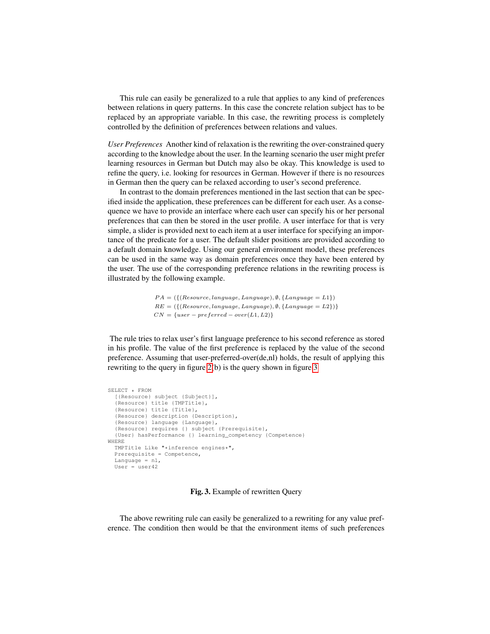This rule can easily be generalized to a rule that applies to any kind of preferences between relations in query patterns. In this case the concrete relation subject has to be replaced by an appropriate variable. In this case, the rewriting process is completely controlled by the definition of preferences between relations and values.

*User Preferences* Another kind of relaxation is the rewriting the over-constrained query according to the knowledge about the user. In the learning scenario the user might prefer learning resources in German but Dutch may also be okay. This knowledge is used to refine the query, i.e. looking for resources in German. However if there is no resources in German then the query can be relaxed according to user's second preference.

In contrast to the domain preferences mentioned in the last section that can be specified inside the application, these preferences can be different for each user. As a consequence we have to provide an interface where each user can specify his or her personal preferences that can then be stored in the user profile. A user interface for that is very simple, a slider is provided next to each item at a user interface for specifying an importance of the predicate for a user. The default slider positions are provided according to a default domain knowledge. Using our general environment model, these preferences can be used in the same way as domain preferences once they have been entered by the user. The use of the corresponding preference relations in the rewriting process is illustrated by the following example.

```
PA = (\{(Resource, language, Language), \emptyset, \{Language = L1\})RE = (\{(Resource, language, Language), \emptyset, \{Language, L, \emptyset\})\}CN = \{user-preferred-over(L1, L2)\}
```
The rule tries to relax user's first language preference to his second reference as stored in his profile. The value of the first preference is replaced by the value of the second preference. Assuming that user-preferred-over(de,nl) holds, the result of applying this rewriting to the query in figure [2\(](#page-7-0)b) is the query shown in figure [3](#page-8-0)

```
SELECT * FROM
  [{Resource} subject {Subject}],
  {Resource} title {TMPTitle},
  {Resource} title {Title},
  {Resource} description {Description},
  {Resource} language {Language},
  {Resource} requires {} subject {Prerequisite},
  {User} hasPerformance {} learning_competency {Competence}
WHERE
  TMPTitle Like "*inference engines*",
  Prerequisite = Competence,
  Language = nl,
  User = user42
```
<span id="page-8-0"></span>Fig. 3. Example of rewritten Query

The above rewriting rule can easily be generalized to a rewriting for any value preference. The condition then would be that the environment items of such preferences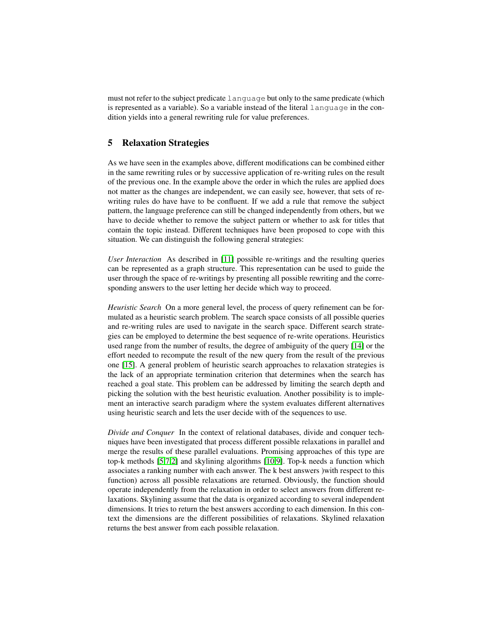must not refer to the subject predicate language but only to the same predicate (which is represented as a variable). So a variable instead of the literal language in the condition yields into a general rewriting rule for value preferences.

## 5 Relaxation Strategies

As we have seen in the examples above, different modifications can be combined either in the same rewriting rules or by successive application of re-writing rules on the result of the previous one. In the example above the order in which the rules are applied does not matter as the changes are independent, we can easily see, however, that sets of rewriting rules do have have to be confluent. If we add a rule that remove the subject pattern, the language preference can still be changed independently from others, but we have to decide whether to remove the subject pattern or whether to ask for titles that contain the topic instead. Different techniques have been proposed to cope with this situation. We can distinguish the following general strategies:

*User Interaction* As described in [\[11\]](#page-11-9) possible re-writings and the resulting queries can be represented as a graph structure. This representation can be used to guide the user through the space of re-writings by presenting all possible rewriting and the corresponding answers to the user letting her decide which way to proceed.

*Heuristic Search* On a more general level, the process of query refinement can be formulated as a heuristic search problem. The search space consists of all possible queries and re-writing rules are used to navigate in the search space. Different search strategies can be employed to determine the best sequence of re-write operations. Heuristics used range from the number of results, the degree of ambiguity of the query [\[14\]](#page-11-10) or the effort needed to recompute the result of the new query from the result of the previous one [\[15\]](#page-11-11). A general problem of heuristic search approaches to relaxation strategies is the lack of an appropriate termination criterion that determines when the search has reached a goal state. This problem can be addressed by limiting the search depth and picking the solution with the best heuristic evaluation. Another possibility is to implement an interactive search paradigm where the system evaluates different alternatives using heuristic search and lets the user decide with of the sequences to use.

*Divide and Conquer* In the context of relational databases, divide and conquer techniques have been investigated that process different possible relaxations in parallel and merge the results of these parallel evaluations. Promising approaches of this type are top-k methods [\[5](#page-11-12)[,7](#page-11-13)[,2\]](#page-11-14) and skylining algorithms [\[10](#page-11-15)[,9\]](#page-11-16). Top-k needs a function which associates a ranking number with each answer. The k best answers )with respect to this function) across all possible relaxations are returned. Obviously, the function should operate independently from the relaxation in order to select answers from different relaxations. Skylining assume that the data is organized according to several independent dimensions. It tries to return the best answers according to each dimension. In this context the dimensions are the different possibilities of relaxations. Skylined relaxation returns the best answer from each possible relaxation.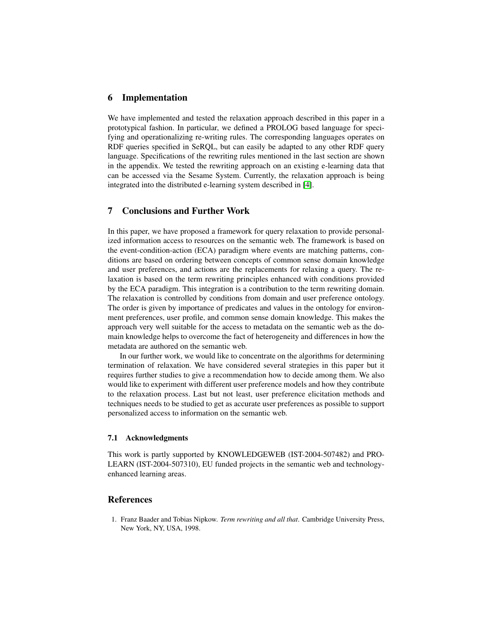#### 6 Implementation

We have implemented and tested the relaxation approach described in this paper in a prototypical fashion. In particular, we defined a PROLOG based language for specifying and operationalizing re-writing rules. The corresponding languages operates on RDF queries specified in SeRQL, but can easily be adapted to any other RDF query language. Specifications of the rewriting rules mentioned in the last section are shown in the appendix. We tested the rewriting approach on an existing e-learning data that can be accessed via the Sesame System. Currently, the relaxation approach is being integrated into the distributed e-learning system described in [\[4\]](#page-11-1).

## 7 Conclusions and Further Work

In this paper, we have proposed a framework for query relaxation to provide personalized information access to resources on the semantic web. The framework is based on the event-condition-action (ECA) paradigm where events are matching patterns, conditions are based on ordering between concepts of common sense domain knowledge and user preferences, and actions are the replacements for relaxing a query. The relaxation is based on the term rewriting principles enhanced with conditions provided by the ECA paradigm. This integration is a contribution to the term rewriting domain. The relaxation is controlled by conditions from domain and user preference ontology. The order is given by importance of predicates and values in the ontology for environment preferences, user profile, and common sense domain knowledge. This makes the approach very well suitable for the access to metadata on the semantic web as the domain knowledge helps to overcome the fact of heterogeneity and differences in how the metadata are authored on the semantic web.

In our further work, we would like to concentrate on the algorithms for determining termination of relaxation. We have considered several strategies in this paper but it requires further studies to give a recommendation how to decide among them. We also would like to experiment with different user preference models and how they contribute to the relaxation process. Last but not least, user preference elicitation methods and techniques needs to be studied to get as accurate user preferences as possible to support personalized access to information on the semantic web.

#### 7.1 Acknowledgments

This work is partly supported by KNOWLEDGEWEB (IST-2004-507482) and PRO-LEARN (IST-2004-507310), EU funded projects in the semantic web and technologyenhanced learning areas.

## **References**

<span id="page-10-0"></span>1. Franz Baader and Tobias Nipkow. *Term rewriting and all that*. Cambridge University Press, New York, NY, USA, 1998.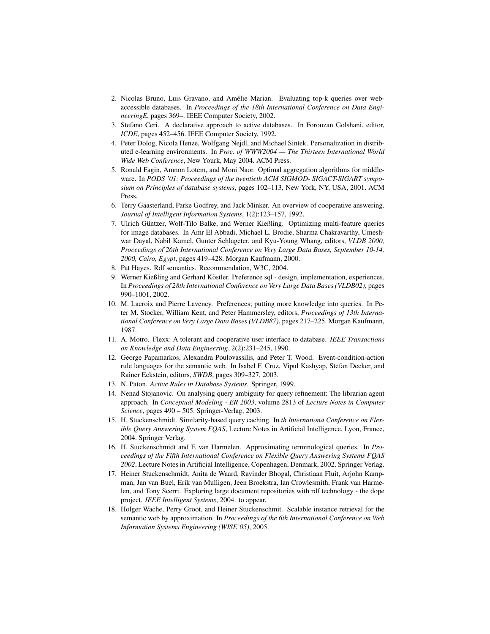- <span id="page-11-14"></span>2. Nicolas Bruno, Luis Gravano, and Amelie Marian. Evaluating top-k queries over web- ´ accessible databases. In *Proceedings of the 18th International Conference on Data EngineeringE*, pages 369–. IEEE Computer Society, 2002.
- <span id="page-11-7"></span>3. Stefano Ceri. A declarative approach to active databases. In Forouzan Golshani, editor, *ICDE*, pages 452–456. IEEE Computer Society, 1992.
- <span id="page-11-1"></span>4. Peter Dolog, Nicola Henze, Wolfgang Nejdl, and Michael Sintek. Personalization in distributed e-learning environments. In *Proc. of WWW2004 — The Thirteen International World Wide Web Conference*, New Yourk, May 2004. ACM Press.
- <span id="page-11-12"></span>5. Ronald Fagin, Amnon Lotem, and Moni Naor. Optimal aggregation algorithms for middleware. In *PODS '01: Proceedings of the twentieth ACM SIGMOD- SIGACT-SIGART symposium on Principles of database systems*, pages 102–113, New York, NY, USA, 2001. ACM Press.
- <span id="page-11-2"></span>6. Terry Gaasterland, Parke Godfrey, and Jack Minker. An overview of cooperative answering. *Journal of Intelligent Information Systems*, 1(2):123–157, 1992.
- <span id="page-11-13"></span>7. Ulrich Guntzer, Wolf-Tilo Balke, and Werner Kießling. Optimizing multi-feature queries ¨ for image databases. In Amr El Abbadi, Michael L. Brodie, Sharma Chakravarthy, Umeshwar Dayal, Nabil Kamel, Gunter Schlageter, and Kyu-Young Whang, editors, *VLDB 2000, Proceedings of 26th International Conference on Very Large Data Bases, September 10-14, 2000, Cairo, Egypt*, pages 419–428. Morgan Kaufmann, 2000.
- <span id="page-11-6"></span>8. Pat Hayes. Rdf semantics. Recommendation, W3C, 2004.
- <span id="page-11-16"></span>9. Werner Kießling and Gerhard Köstler. Preference sql - design, implementation, experiences. In *Proceedings of 28th International Conference on Very Large Data Bases (VLDB02)*, pages 990–1001, 2002.
- <span id="page-11-15"></span>10. M. Lacroix and Pierre Lavency. Preferences; putting more knowledge into queries. In Peter M. Stocker, William Kent, and Peter Hammersley, editors, *Proceedings of 13th International Conference on Very Large Data Bases (VLDB87)*, pages 217–225. Morgan Kaufmann, 1987.
- <span id="page-11-9"></span>11. A. Motro. Flexx: A tolerant and cooperative user interface to database. *IEEE Transactions on Knowledge and Data Engineering*, 2(2):231–245, 1990.
- <span id="page-11-8"></span>12. George Papamarkos, Alexandra Poulovassilis, and Peter T. Wood. Event-condition-action rule languages for the semantic web. In Isabel F. Cruz, Vipul Kashyap, Stefan Decker, and Rainer Eckstein, editors, *SWDB*, pages 309–327, 2003.
- <span id="page-11-5"></span>13. N. Paton. *Active Rules in Database Systems*. Springer, 1999.
- <span id="page-11-10"></span>14. Nenad Stojanovic. On analysing query ambiguity for query refinement: The librarian agent approach. In *Conceptual Modeling - ER 2003*, volume 2813 of *Lecture Notes in Computer Science*, pages 490 – 505. Springer-Verlag, 2003.
- <span id="page-11-11"></span>15. H. Stuckenschmidt. Similarity-based query caching. In *th Internationa Conference on Flexible Query Answering System FQAS*, Lecture Notes in Artificial Intelligence, Lyon, France, 2004. Springer Verlag.
- <span id="page-11-3"></span>16. H. Stuckenschmidt and F. van Harmelen. Approximating terminological queries. In *Proceedings of the Fifth International Conference on Flexible Query Answering Systems FQAS 2002*, Lecture Notes in Artificial Intelligence, Copenhagen, Denmark, 2002. Springer Verlag.
- <span id="page-11-0"></span>17. Heiner Stuckenschmidt, Anita de Waard, Ravinder Bhogal, Christiaan Fluit, Arjohn Kampman, Jan van Buel, Erik van Mulligen, Jeen Broekstra, Ian Crowlesmith, Frank van Harmelen, and Tony Scerri. Exploring large document repositories with rdf technology - the dope project. *IEEE Intelligent Systems*, 2004. to appear.
- <span id="page-11-4"></span>18. Holger Wache, Perry Groot, and Heiner Stuckenschmit. Scalable instance retrieval for the semantic web by approximation. In *Proceedings of the 6th International Conference on Web Information Systems Engineering (WISE'05)*, 2005.